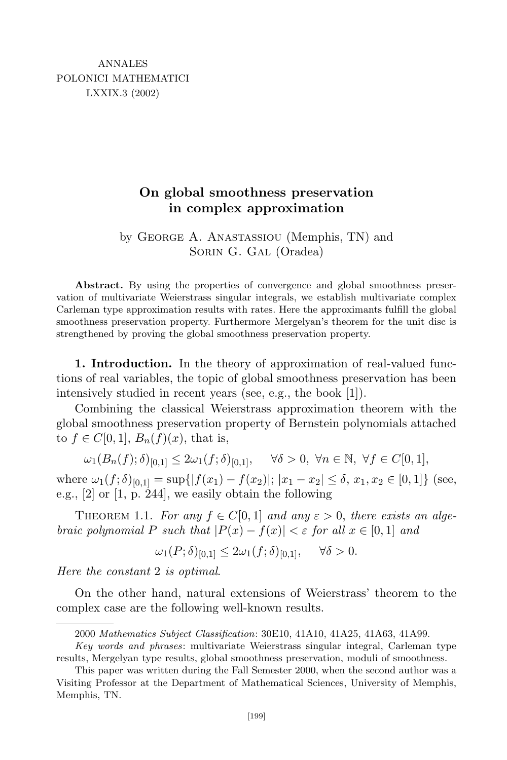## **On global smoothness preservation in complex approximation**

by George A. Anastassiou (Memphis, TN) and Sorin G. Gal (Oradea)

Abstract. By using the properties of convergence and global smoothness preservation of multivariate Weierstrass singular integrals, we establish multivariate complex Carleman type approximation results with rates. Here the approximants fulfill the global smoothness preservation property. Furthermore Mergelyan's theorem for the unit disc is strengthened by proving the global smoothness preservation property.

**1. Introduction.** In the theory of approximation of real-valued functions of real variables, the topic of global smoothness preservation has been intensively studied in recent years (see, e.g., the book [1]).

Combining the classical Weierstrass approximation theorem with the global smoothness preservation property of Bernstein polynomials attached to  $f \in C[0,1], B_n(f)(x)$ , that is,

$$
\omega_1(B_n(f);\delta)_{[0,1]} \le 2\omega_1(f;\delta)_{[0,1]}, \quad \forall \delta > 0, \ \forall n \in \mathbb{N}, \ \forall f \in C[0,1],
$$

where  $\omega_1(f; \delta)_{[0,1]} = \sup\{|f(x_1) - f(x_2)|; |x_1 - x_2| \leq \delta, x_1, x_2 \in [0,1]\}$  (see, e.g., [2] or [1, p. 244], we easily obtain the following

THEOREM 1.1. *For any*  $f \in C[0, 1]$  *and any*  $\varepsilon > 0$ , *there exists an algebraic polynomial*  $P$  *such that*  $|P(x) - f(x)| < \varepsilon$  *for all*  $x \in [0, 1]$  *and* 

 $\omega_1(P; \delta)_{[0,1]} \leq 2\omega_1(f; \delta)_{[0,1]}, \quad \forall \delta > 0.$ 

*Here the constant* 2 *is optimal*.

On the other hand, natural extensions of Weierstrass' theorem to the complex case are the following well-known results.

<sup>2000</sup> *Mathematics Subject Classification*: 30E10, 41A10, 41A25, 41A63, 41A99.

*Key words and phrases*: multivariate Weierstrass singular integral, Carleman type results, Mergelyan type results, global smoothness preservation, moduli of smoothness.

This paper was written during the Fall Semester 2000, when the second author was a Visiting Professor at the Department of Mathematical Sciences, University of Memphis, Memphis, TN.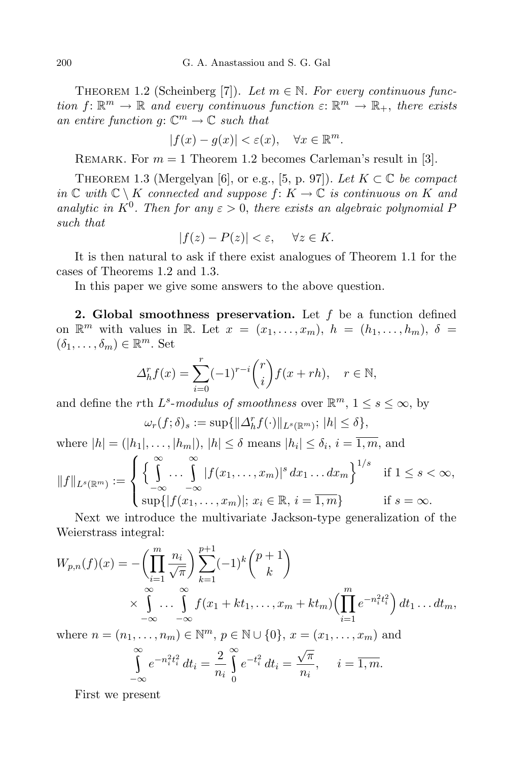THEOREM 1.2 (Scheinberg [7]). Let  $m \in \mathbb{N}$ . For every continuous func*tion*  $f: \mathbb{R}^m \to \mathbb{R}$  *and every continuous function*  $\varepsilon: \mathbb{R}^m \to \mathbb{R}_+$ , *there exists an entire function*  $g: \mathbb{C}^m \to \mathbb{C}$  *such that* 

$$
|f(x) - g(x)| < \varepsilon(x), \quad \forall x \in \mathbb{R}^m.
$$

REMARK. For  $m = 1$  Theorem 1.2 becomes Carleman's result in [3].

THEOREM 1.3 (Mergelyan [6], or e.g., [5, p. 97]). Let  $K \subset \mathbb{C}$  be compact *in*  $\mathbb{C}$  *with*  $\mathbb{C} \setminus K$  *connected and suppose f*: *K* →  $\mathbb{C}$  *is continuous on K and analytic in*  $K^0$ . Then for any  $\varepsilon > 0$ , there exists an algebraic polynomial *P such that*

$$
|f(z) - P(z)| < \varepsilon, \quad \forall z \in K.
$$

It is then natural to ask if there exist analogues of Theorem 1.1 for the cases of Theorems 1.2 and 1.3.

In this paper we give some answers to the above question.

**2. Global smoothness preservation.** Let *f* be a function defined on  $\mathbb{R}^m$  with values in  $\mathbb{R}$ . Let  $x = (x_1, \ldots, x_m)$ ,  $h = (h_1, \ldots, h_m)$ ,  $\delta =$  $(\delta_1, \ldots, \delta_m) \in \mathbb{R}^m$ . Set

$$
\Delta_h^r f(x) = \sum_{i=0}^r (-1)^{r-i} \binom{r}{i} f(x+rh), \quad r \in \mathbb{N},
$$

and define the *r*th  $L^s$ -modulus of smoothness over  $\mathbb{R}^m$ ,  $1 \leq s \leq \infty$ , by

$$
\omega_r(f;\delta)_s := \sup\{\|\Delta_h^r f(\cdot)\|_{L^s(\mathbb{R}^m)}; |h| \le \delta\},\
$$

where  $|h| = (|h_1|, \ldots, |h_m|), |h| \leq \delta$  means  $|h_i| \leq \delta_i, i = \overline{1, m}$ , and

$$
||f||_{L^{s}(\mathbb{R}^m)} := \begin{cases} \left\{ \int_{-\infty}^{\infty} \dots \int_{-\infty}^{\infty} |f(x_1, \dots, x_m)|^s dx_1 \dots dx_m \right\}^{1/s} & \text{if } 1 \le s < \infty, \\ \sup\{|f(x_1, \dots, x_m)|; x_i \in \mathbb{R}, i = \overline{1, m}\} & \text{if } s = \infty. \end{cases}
$$

Next we introduce the multivariate Jackson-type generalization of the Weierstrass integral:

$$
W_{p,n}(f)(x) = -\left(\prod_{i=1}^{m} \frac{n_i}{\sqrt{\pi}}\right) \sum_{k=1}^{p+1} (-1)^k {p+1 \choose k}
$$
  
 
$$
\times \int_{-\infty}^{\infty} \cdots \int_{-\infty}^{\infty} f(x_1 + kt_1, \dots, x_m + kt_m) \left(\prod_{i=1}^{m} e^{-n_i^2 t_i^2}\right) dt_1 \dots dt_m,
$$

where  $n = (n_1, ..., n_m) \in \mathbb{N}^m$ ,  $p \in \mathbb{N} \cup \{0\}$ ,  $x = (x_1, ..., x_m)$  and

$$
\int_{-\infty}^{\infty} e^{-n_i^2 t_i^2} dt_i = \frac{2}{n_i} \int_{0}^{\infty} e^{-t_i^2} dt_i = \frac{\sqrt{\pi}}{n_i}, \quad i = \overline{1, m}.
$$

First we present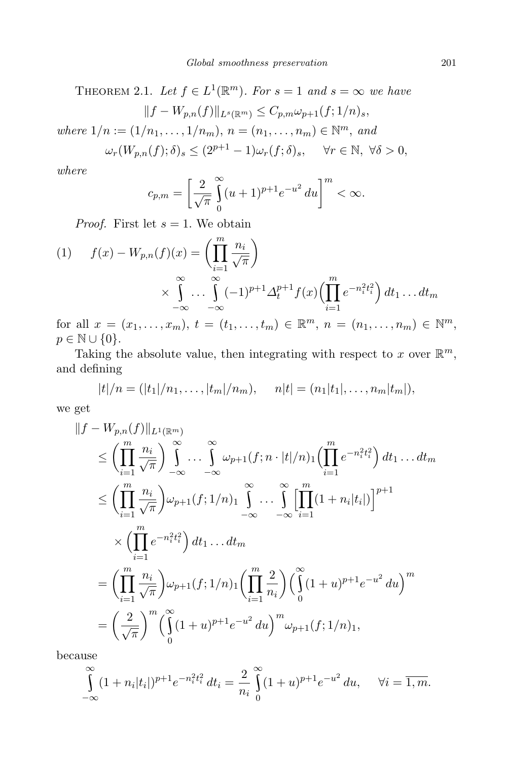THEOREM 2.1. *Let*  $f \in L^1(\mathbb{R}^m)$ . For  $s = 1$  and  $s = \infty$  we have *kf f***<b>***x (f*)*k*<sub>*l*</sub> *fm*) *z C<i><i>, c***<sub>***j***</sub>** *j*<sub>*s*</sub></sub>, *(f, 1/<sub>n</sub>)</sub>* 

$$
||f - W_{p,n}(f)||_{L^s(\mathbb{R}^m)} \leq C_{p,m}\omega_{p+1}(f;1/n)_s,
$$

 $where \ 1/n := (1/n_1, \ldots, 1/n_m), \ n = (n_1, \ldots, n_m) \in \mathbb{N}^m, \ and$ 

$$
\omega_r(W_{p,n}(f);\delta)_s \le (2^{p+1}-1)\omega_r(f;\delta)_s, \quad \forall r \in \mathbb{N}, \ \forall \delta > 0,
$$

*where*

$$
c_{p,m} = \left[\frac{2}{\sqrt{\pi}} \int_{0}^{\infty} (u+1)^{p+1} e^{-u^2} du\right]^{m} < \infty.
$$

*Proof.* First let  $s = 1$ . We obtain

$$
(1) \qquad f(x) - W_{p,n}(f)(x) = \left(\prod_{i=1}^{m} \frac{n_i}{\sqrt{\pi}}\right)
$$

$$
\times \int_{-\infty}^{\infty} \dots \int_{-\infty}^{\infty} (-1)^{p+1} \Delta_t^{p+1} f(x) \left(\prod_{i=1}^{m} e^{-n_i^2 t_i^2}\right) dt_1 \dots dt_m
$$

for all  $x = (x_1, ..., x_m)$ ,  $t = (t_1, ..., t_m) \in \mathbb{R}^m$ ,  $n = (n_1, ..., n_m) \in \mathbb{N}^m$ , *p* ∈ N ∪ {0}.

Taking the absolute value, then integrating with respect to  $x$  over  $\mathbb{R}^m$ , and defining

$$
|t|/n = (|t_1|/n_1, \ldots, |t_m|/n_m), \quad n|t| = (n_1|t_1|, \ldots, n_m|t_m|),
$$

we get

$$
||f - W_{p,n}(f)||_{L^{1}(\mathbb{R}^{m})}
$$
  
\n
$$
\leq \left(\prod_{i=1}^{m} \frac{n_{i}}{\sqrt{\pi}}\right) \int_{-\infty}^{\infty} \cdots \int_{-\infty}^{\infty} \omega_{p+1}(f; n \cdot |t|/n) \left(\prod_{i=1}^{m} e^{-n_{i}^{2}t_{i}^{2}}\right) dt_{1} \dots dt_{m}
$$
  
\n
$$
\leq \left(\prod_{i=1}^{m} \frac{n_{i}}{\sqrt{\pi}}\right) \omega_{p+1}(f; 1/n) \int_{-\infty}^{\infty} \cdots \int_{-\infty}^{\infty} \left[\prod_{i=1}^{m} (1 + n_{i}|t_{i}|)\right]^{p+1}
$$
  
\n
$$
\times \left(\prod_{i=1}^{m} e^{-n_{i}^{2}t_{i}^{2}}\right) dt_{1} \dots dt_{m}
$$
  
\n
$$
= \left(\prod_{i=1}^{m} \frac{n_{i}}{\sqrt{\pi}}\right) \omega_{p+1}(f; 1/n) \left(\prod_{i=1}^{m} \frac{2}{n_{i}}\right) \left(\int_{0}^{\infty} (1 + u)^{p+1} e^{-u^{2}} du\right)^{m}
$$
  
\n
$$
= \left(\frac{2}{\sqrt{\pi}}\right)^{m} \left(\int_{0}^{\infty} (1 + u)^{p+1} e^{-u^{2}} du\right)^{m} \omega_{p+1}(f; 1/n)_{1},
$$

because

$$
\int_{-\infty}^{\infty} (1 + n_i |t_i|)^{p+1} e^{-n_i^2 t_i^2} dt_i = \frac{2}{n_i} \int_{0}^{\infty} (1 + u)^{p+1} e^{-u^2} du, \quad \forall i = \overline{1, m}.
$$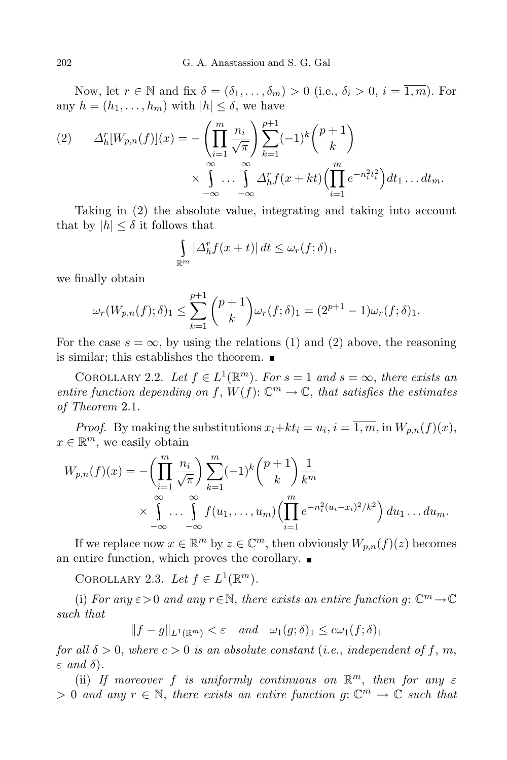Now, let  $r \in \mathbb{N}$  and fix  $\delta = (\delta_1, \ldots, \delta_m) > 0$  (i.e.,  $\delta_i > 0$ ,  $i = \overline{1, m}$ ). For any  $h = (h_1, \ldots, h_m)$  with  $|h| \leq \delta$ , we have

(2) 
$$
\Delta_h^r[W_{p,n}(f)](x) = -\left(\prod_{i=1}^m \frac{n_i}{\sqrt{\pi}}\right) \sum_{k=1}^{p+1} (-1)^k {p+1 \choose k} \times \int_{-\infty}^{\infty} \cdots \int_{-\infty}^{\infty} \Delta_h^r f(x+kt) \left(\prod_{i=1}^m e^{-n_i^2 t_i^2}\right) dt_1 \dots dt_m.
$$

Taking in (2) the absolute value, integrating and taking into account that by  $|h| \leq \delta$  it follows that

$$
\int_{\mathbb{R}^m} |\Delta_h^r f(x+t)| dt \le \omega_r(f;\delta)_1,
$$

we finally obtain

$$
\omega_r(W_{p,n}(f);\delta)_1 \le \sum_{k=1}^{p+1} \binom{p+1}{k} \omega_r(f;\delta)_1 = (2^{p+1}-1)\omega_r(f;\delta)_1.
$$

For the case  $s = \infty$ , by using the relations (1) and (2) above, the reasoning is similar; this establishes the theorem.

COROLLARY 2.2. Let  $f \in L^1(\mathbb{R}^m)$ . For  $s = 1$  and  $s = \infty$ , there exists an *entire function depending on*  $f$ ,  $W(f)$ :  $\mathbb{C}^m \to \mathbb{C}$ , *that satisfies the estimates of Theorem* 2.1.

*Proof.* By making the substitutions  $x_i + kt_i = u_i$ ,  $i = \overline{1, m}$ , in  $W_{p,n}(f)(x)$ ,  $x \in \mathbb{R}^m$ , we easily obtain

$$
W_{p,n}(f)(x) = -\left(\prod_{i=1}^m \frac{n_i}{\sqrt{\pi}}\right) \sum_{k=1}^m (-1)^k {p+1 \choose k} \frac{1}{k^m}
$$
  
 
$$
\times \int_{-\infty}^{\infty} \cdots \int_{-\infty}^{\infty} f(u_1, \ldots, u_m) \left(\prod_{i=1}^m e^{-n_i^2(u_i - x_i)^2/k^2}\right) du_1 \ldots du_m.
$$

If we replace now  $x \in \mathbb{R}^m$  by  $z \in \mathbb{C}^m$ , then obviously  $W_{p,n}(f)(z)$  becomes an entire function, which proves the corollary.  $\blacksquare$ 

COROLLARY 2.3. *Let*  $f \in L^1(\mathbb{R}^m)$ .

(i) For any  $\varepsilon > 0$  and any  $r \in \mathbb{N}$ , there exists an entire function g:  $\mathbb{C}^m \to \mathbb{C}$ *such that*

 $||f - g||_{L^1(\mathbb{R}^m)} < \varepsilon$  *and*  $\omega_1(g; \delta)_1 \leq c\omega_1(f; \delta)_1$ 

*for* all  $\delta > 0$ , where  $c > 0$  *is an absolute constant* (*i.e.*, *independent* of f, *m*, *ε and δ*)*.*

(ii) If moreover *f* is uniformly continuous on  $\mathbb{R}^m$ , then for any  $\varepsilon$  $> 0$  *and any*  $r \in \mathbb{N}$ , *there exists an entire function*  $g: \mathbb{C}^m \to \mathbb{C}$  *such that*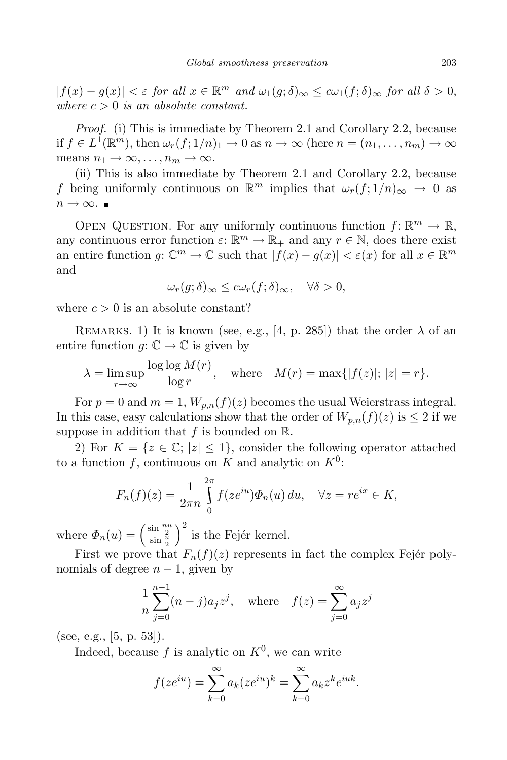$|f(x) - g(x)| < \varepsilon$  for all  $x \in \mathbb{R}^m$  and  $\omega_1(g; \delta)_{\infty} \leq c\omega_1(f; \delta)_{\infty}$  for all  $\delta > 0$ , *where*  $c > 0$  *is an absolute constant.* 

*Proof.* (i) This is immediate by Theorem 2.1 and Corollary 2.2, because if  $f \in L^1(\mathbb{R}^m)$ , then  $\omega_r(f;1/n)_1 \to 0$  as  $n \to \infty$  (here  $n = (n_1,\ldots,n_m) \to \infty$  $means$   $n_1 \rightarrow \infty, \ldots, n_m \rightarrow \infty$ .

(ii) This is also immediate by Theorem 2.1 and Corollary 2.2, because *f* being uniformly continuous on  $\mathbb{R}^m$  implies that  $\omega_r(f; 1/n)_{\infty} \to 0$  as  $n \rightarrow \infty$ . ■

OPEN QUESTION. For any uniformly continuous function  $f: \mathbb{R}^m \to \mathbb{R}$ , any continuous error function  $\varepsilon: \mathbb{R}^m \to \mathbb{R}_+$  and any  $r \in \mathbb{N}$ , does there exist an entire function  $g: \mathbb{C}^m \to \mathbb{C}$  such that  $|f(x) - g(x)| < \varepsilon(x)$  for all  $x \in \mathbb{R}^m$ and

$$
\omega_r(g;\delta)_{\infty} \leq c\omega_r(f;\delta)_{\infty}, \quad \forall \delta > 0,
$$

where  $c > 0$  is an absolute constant?

REMARKS. 1) It is known (see, e.g., [4, p. 285]) that the order  $\lambda$  of an entire function  $q: \mathbb{C} \to \mathbb{C}$  is given by

$$
\lambda = \limsup_{r \to \infty} \frac{\log \log M(r)}{\log r}, \quad \text{where} \quad M(r) = \max\{|f(z)|; |z| = r\}.
$$

For  $p = 0$  and  $m = 1$ ,  $W_{p,n}(f)(z)$  becomes the usual Weierstrass integral. In this case, easy calculations show that the order of  $W_{p,n}(f)(z)$  is  $\leq 2$  if we suppose in addition that  $f$  is bounded on  $\mathbb{R}$ .

2) For  $K = \{z \in \mathbb{C}; |z| \leq 1\}$ , consider the following operator attached to a function  $f$ , continuous on  $K$  and analytic on  $K^0$ :

$$
F_n(f)(z) = \frac{1}{2\pi n} \int_0^{2\pi} f(ze^{iu}) \Phi_n(u) du, \quad \forall z = re^{ix} \in K,
$$

where  $\Phi_n(u) = \left(\frac{\sin \frac{nu}{2}}{\sin \frac{u}{2}}\right)$  $\int^2$  is the Fejér kernel.

First we prove that  $F_n(f)(z)$  represents in fact the complex Fejer polynomials of degree  $n-1$ , given by

$$
\frac{1}{n} \sum_{j=0}^{n-1} (n-j)a_j z^j, \text{ where } f(z) = \sum_{j=0}^{\infty} a_j z^j
$$

(see, e.g., [5, p. 53]).

Indeed, because  $f$  is analytic on  $K^0$ , we can write

$$
f(ze^{iu}) = \sum_{k=0}^{\infty} a_k (ze^{iu})^k = \sum_{k=0}^{\infty} a_k z^k e^{iuk}.
$$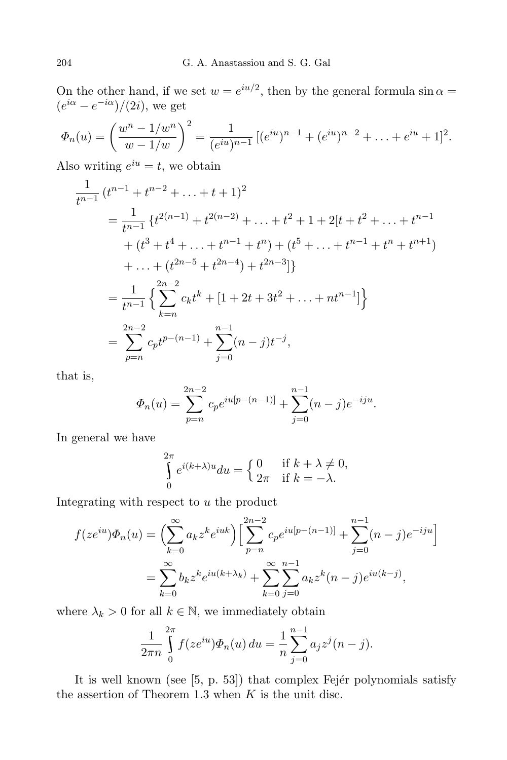On the other hand, if we set  $w = e^{iu/2}$ , then by the general formula  $\sin \alpha =$  $(e^{i\alpha} - e^{-i\alpha})/(2i)$ , we get

$$
\Phi_n(u) = \left(\frac{w^n - 1/w^n}{w - 1/w}\right)^2 = \frac{1}{(e^{iu})^{n-1}} \left[ (e^{iu})^{n-1} + (e^{iu})^{n-2} + \ldots + e^{iu} + 1 \right]^2.
$$

Also writing  $e^{iu} = t$ , we obtain

$$
\frac{1}{t^{n-1}} (t^{n-1} + t^{n-2} + \dots + t + 1)^2
$$
\n
$$
= \frac{1}{t^{n-1}} \{t^{2(n-1)} + t^{2(n-2)} + \dots + t^2 + 1 + 2[t + t^2 + \dots + t^{n-1} + (t^3 + t^4 + \dots + t^{n-1} + t^n) + (t^5 + \dots + t^{n-1} + t^n + t^{n+1}) + \dots + (t^{2n-5} + t^{2n-4}) + t^{2n-3}]\}
$$
\n
$$
= \frac{1}{t^{n-1}} \left\{ \sum_{k=n}^{2n-2} c_k t^k + [1 + 2t + 3t^2 + \dots + nt^{n-1}] \right\}
$$
\n
$$
= \sum_{p=n}^{2n-2} c_p t^{p-(n-1)} + \sum_{j=0}^{n-1} (n-j) t^{-j},
$$

that is,

$$
\Phi_n(u) = \sum_{p=n}^{2n-2} c_p e^{iu[p-(n-1)]} + \sum_{j=0}^{n-1} (n-j)e^{-iju}.
$$

In general we have

$$
\int_{0}^{2\pi} e^{i(k+\lambda)u} du = \begin{cases} 0 & \text{if } k + \lambda \neq 0, \\ 2\pi & \text{if } k = -\lambda. \end{cases}
$$

Integrating with respect to *u* the product

$$
f(ze^{iu})\Phi_n(u) = \left(\sum_{k=0}^{\infty} a_k z^k e^{iuk}\right) \left[\sum_{p=n}^{2n-2} c_p e^{iu[p-(n-1)]} + \sum_{j=0}^{n-1} (n-j)e^{-iju}\right]
$$
  
= 
$$
\sum_{k=0}^{\infty} b_k z^k e^{iu(k+\lambda_k)} + \sum_{k=0}^{\infty} \sum_{j=0}^{n-1} a_k z^k (n-j)e^{iu(k-j)},
$$

where  $\lambda_k > 0$  for all  $k \in \mathbb{N}$ , we immediately obtain

$$
\frac{1}{2\pi n} \int_{0}^{2\pi} f(ze^{iu}) \Phi_n(u) \, du = \frac{1}{n} \sum_{j=0}^{n-1} a_j z^j (n-j).
$$

It is well known (see  $[5, p. 53]$ ) that complex Fejér polynomials satisfy the assertion of Theorem 1.3 when *K* is the unit disc.